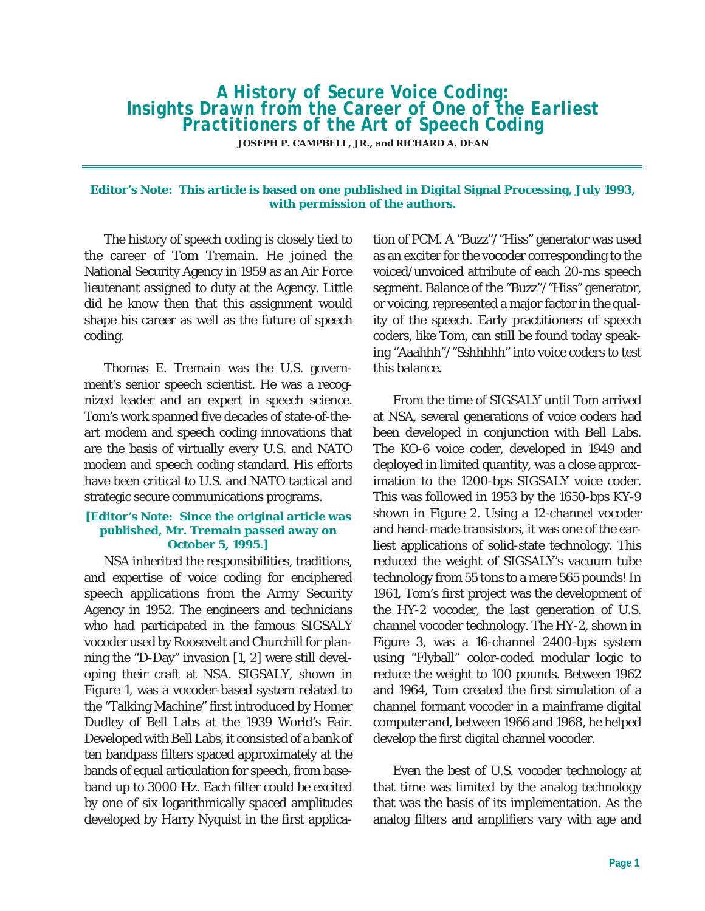*A History of Secure Voice Coding: Insights Drawn from the Career of One of the Earliest Practitioners of the Art of Speech Coding*

**JOSEPH P. CAMPBELL, JR., and RICHARD A. DEAN**

## **Editor's Note: This article is based on one published in Digital Signal Processing, July 1993, with permission of the authors.**

The history of speech coding is closely tied to the career of Tom Tremain. He joined the National Security Agency in 1959 as an Air Force lieutenant assigned to duty at the Agency. Little did he know then that this assignment would shape his career as well as the future of speech coding.

Thomas E. Tremain was the U.S. government's senior speech scientist. He was a recognized leader and an expert in speech science. Tom's work spanned five decades of state-of-theart modem and speech coding innovations that are the basis of virtually every U.S. and NATO modem and speech coding standard. His efforts have been critical to U.S. and NATO tactical and strategic secure communications programs.

## **[Editor's Note: Since the original article was published, Mr. Tremain passed away on October 5, 1995.]**

NSA inherited the responsibilities, traditions, and expertise of voice coding for enciphered speech applications from the Army Security Agency in 1952. The engineers and technicians who had participated in the famous SIGSALY vocoder used by Roosevelt and Churchill for planning the "D-Day" invasion [1, 2] were still developing their craft at NSA. SIGSALY, shown in Figure 1, was a vocoder-based system related to the "Talking Machine" first introduced by Homer Dudley of Bell Labs at the 1939 World's Fair. Developed with Bell Labs, it consisted of a bank of ten bandpass filters spaced approximately at the bands of equal articulation for speech, from baseband up to 3000 Hz. Each filter could be excited by one of six logarithmically spaced amplitudes developed by Harry Nyquist in the first application of PCM. A "Buzz"/"Hiss" generator was used as an exciter for the vocoder corresponding to the voiced/unvoiced attribute of each 20-ms speech segment. Balance of the "Buzz"/"Hiss" generator, or voicing, represented a major factor in the quality of the speech. Early practitioners of speech coders, like Tom, can still be found today speaking "Aaahhh"/"Sshhhhh" into voice coders to test this balance.

From the time of SIGSALY until Tom arrived at NSA, several generations of voice coders had been developed in conjunction with Bell Labs. The KO-6 voice coder, developed in 1949 and deployed in limited quantity, was a close approximation to the 1200-bps SIGSALY voice coder. This was followed in 1953 by the 1650-bps KY-9 shown in Figure 2. Using a 12-channel vocoder and hand-made transistors, it was one of the earliest applications of solid-state technology. This reduced the weight of SIGSALY's vacuum tube technology from 55 tons to a mere 565 pounds! In 1961, Tom's first project was the development of the HY-2 vocoder, the last generation of U.S. channel vocoder technology. The HY-2, shown in Figure 3, was a 16-channel 2400-bps system using "Flyball" color-coded modular logic to reduce the weight to 100 pounds. Between 1962 and 1964, Tom created the first simulation of a channel formant vocoder in a mainframe digital computer and, between 1966 and 1968, he helped develop the first digital channel vocoder.

Even the best of U.S. vocoder technology at that time was limited by the analog technology that was the basis of its implementation. As the analog filters and amplifiers vary with age and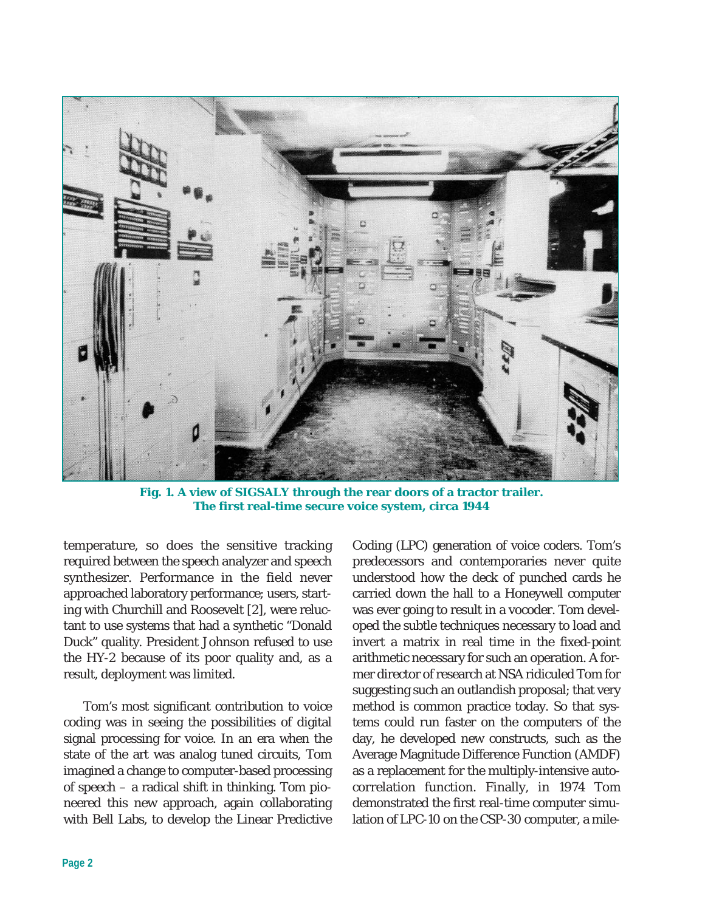

**Fig. 1. A view of SIGSALY through the rear doors of a tractor trailer. The first real-time secure voice system, circa 1944**

temperature, so does the sensitive tracking required between the speech analyzer and speech synthesizer. Performance in the field never approached laboratory performance; users, starting with Churchill and Roosevelt [2], were reluctant to use systems that had a synthetic "Donald Duck" quality. President Johnson refused to use the HY-2 because of its poor quality and, as a result, deployment was limited.

Tom's most significant contribution to voice coding was in seeing the possibilities of digital signal processing for voice. In an era when the state of the art was analog tuned circuits, Tom imagined a change to computer-based processing of speech – a radical shift in thinking. Tom pioneered this new approach, again collaborating with Bell Labs, to develop the Linear Predictive

Coding (LPC) generation of voice coders. Tom's predecessors and contemporaries never quite understood how the deck of punched cards he carried down the hall to a Honeywell computer was ever going to result in a vocoder. Tom developed the subtle techniques necessary to load and invert a matrix in real time in the fixed-point arithmetic necessary for such an operation. A former director of research at NSA ridiculed Tom for suggesting such an outlandish proposal; that very method is common practice today. So that systems could run faster on the computers of the day, he developed new constructs, such as the Average Magnitude Difference Function (AMDF) as a replacement for the multiply-intensive autocorrelation function. Finally, in 1974 Tom demonstrated the first real-time computer simulation of LPC-10 on the CSP-30 computer, a mile-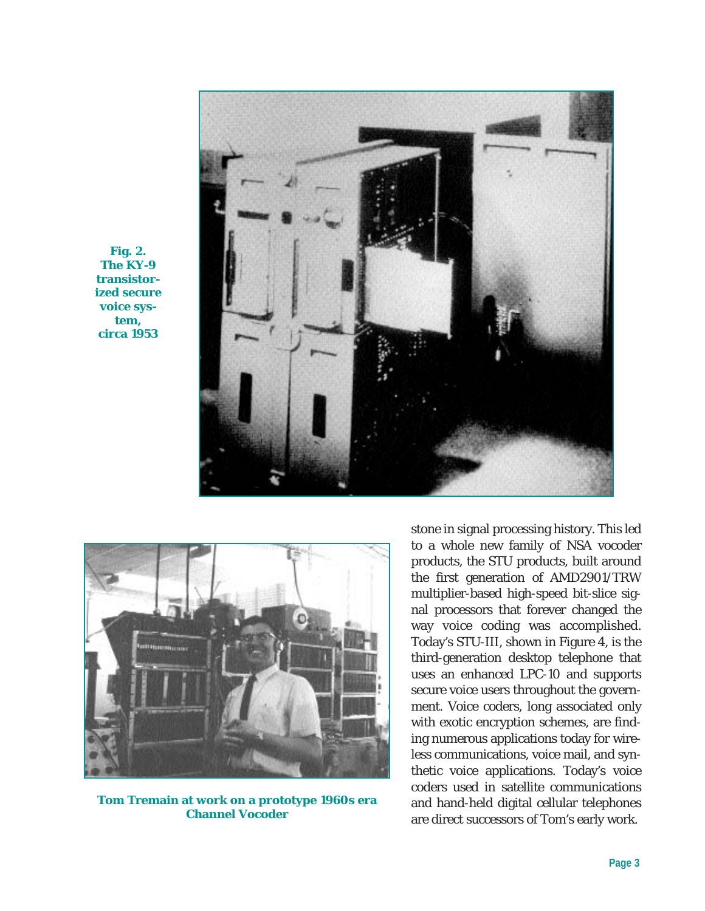

**Fig. 2. The KY-9 transistorized secure voice system, circa 1953**



**Tom Tremain at work on a prototype 1960s era Channel Vocoder**

stone in signal processing history. This led to a whole new family of NSA vocoder products, the STU products, built around the first generation of AMD2901/TRW multiplier-based high-speed bit-slice signal processors that forever changed the way voice coding was accomplished. Today's STU-III, shown in Figure 4, is the third-generation desktop telephone that uses an enhanced LPC-10 and supports secure voice users throughout the government. Voice coders, long associated only with exotic encryption schemes, are finding numerous applications today for wireless communications, voice mail, and synthetic voice applications. Today's voice coders used in satellite communications and hand-held digital cellular telephones are direct successors of Tom's early work.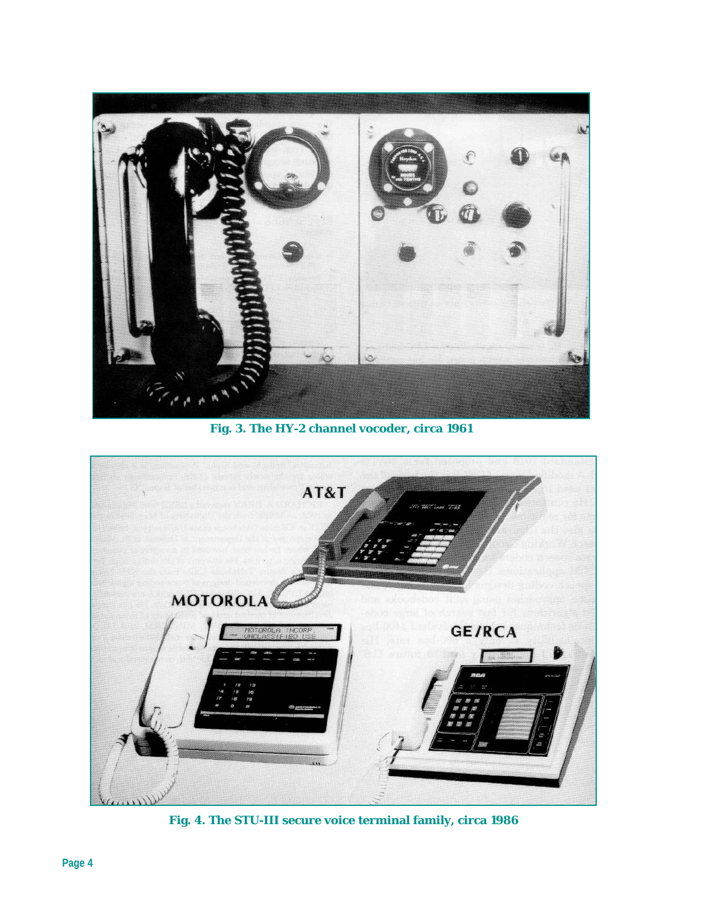

**Fig. 3. The HY-2 channel vocoder, circa 1961**



**Fig. 4. The STU-III secure voice terminal family, circa 1986**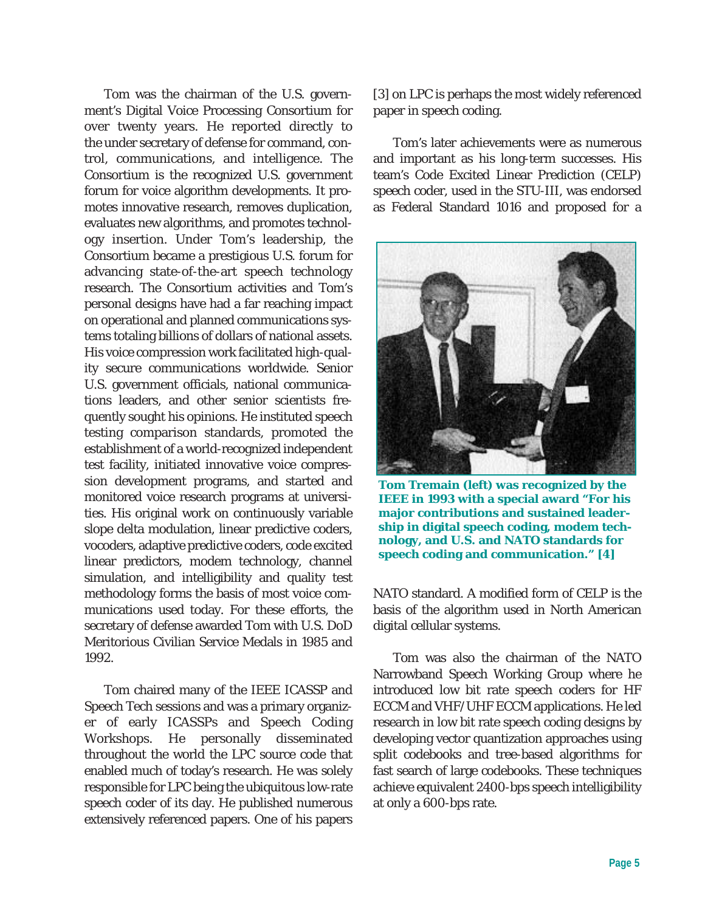Tom was the chairman of the U.S. government's Digital Voice Processing Consortium for over twenty years. He reported directly to the under secretary of defense for command, control, communications, and intelligence. The Consortium is the recognized U.S. government forum for voice algorithm developments. It promotes innovative research, removes duplication, evaluates new algorithms, and promotes technology insertion. Under Tom's leadership, the Consortium became a prestigious U.S. forum for advancing state-of-the-art speech technology research. The Consortium activities and Tom's personal designs have had a far reaching impact on operational and planned communications systems totaling billions of dollars of national assets. His voice compression work facilitated high-quality secure communications worldwide. Senior U.S. government officials, national communications leaders, and other senior scientists frequently sought his opinions. He instituted speech testing comparison standards, promoted the establishment of a world-recognized independent test facility, initiated innovative voice compression development programs, and started and monitored voice research programs at universities. His original work on continuously variable slope delta modulation, linear predictive coders, vocoders, adaptive predictive coders, code excited linear predictors, modem technology, channel simulation, and intelligibility and quality test methodology forms the basis of most voice communications used today. For these efforts, the secretary of defense awarded Tom with U.S. DoD Meritorious Civilian Service Medals in 1985 and 1992.

Tom chaired many of the IEEE ICASSP and Speech Tech sessions and was a primary organizer of early ICASSPs and Speech Coding Workshops. He personally disseminated throughout the world the LPC source code that enabled much of today's research. He was solely responsible for LPC being the ubiquitous low-rate speech coder of its day. He published numerous extensively referenced papers. One of his papers

[3] on LPC is perhaps the most widely referenced paper in speech coding.

Tom's later achievements were as numerous and important as his long-term successes. His team's Code Excited Linear Prediction (CELP) speech coder, used in the STU-III, was endorsed as Federal Standard 1016 and proposed for a



**Tom Tremain (left) was recognized by the IEEE in 1993 with a special award "For his major contributions and sustained leadership in digital speech coding, modem technology, and U.S. and NATO standards for speech coding and communication." [4]**

NATO standard. A modified form of CELP is the basis of the algorithm used in North American digital cellular systems.

Tom was also the chairman of the NATO Narrowband Speech Working Group where he introduced low bit rate speech coders for HF ECCM and VHF/UHF ECCM applications. He led research in low bit rate speech coding designs by developing vector quantization approaches using split codebooks and tree-based algorithms for fast search of large codebooks. These techniques achieve equivalent 2400-bps speech intelligibility at only a 600-bps rate.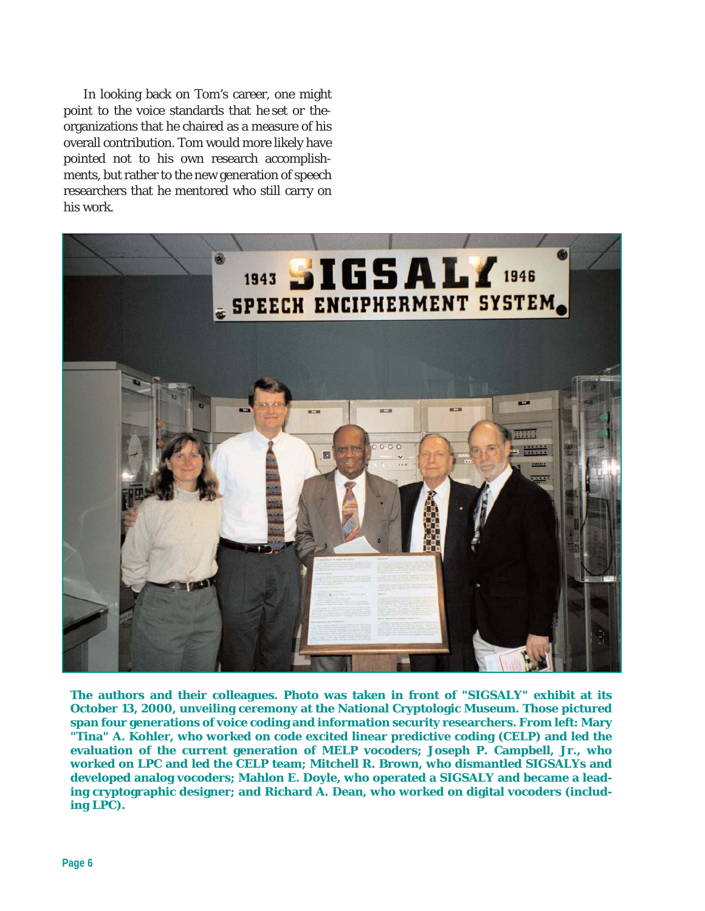In looking back on Tom's career, one might point to the voice standards that he set or theorganizations that he chaired as a measure of his overall contribution. Tom would more likely have pointed not to his own research accomplishments, but rather to the new generation of speech researchers that he mentored who still carry on his work.



**The authors and their colleagues. Photo was taken in front of "SIGSALY" exhibit at its October 13, 2000, unveiling ceremony at the National Cryptologic Museum. Those pictured span four generations of voice coding and information security researchers. From left: Mary "Tina" A. Kohler, who worked on code excited linear predictive coding (CELP) and led the evaluation of the current generation of MELP vocoders; Joseph P. Campbell, Jr., who worked on LPC and led the CELP team; Mitchell R. Brown, who dismantled SIGSALYs and developed analog vocoders; Mahlon E. Doyle, who operated a SIGSALY and became a leading cryptographic designer; and Richard A. Dean, who worked on digital vocoders (including LPC).**